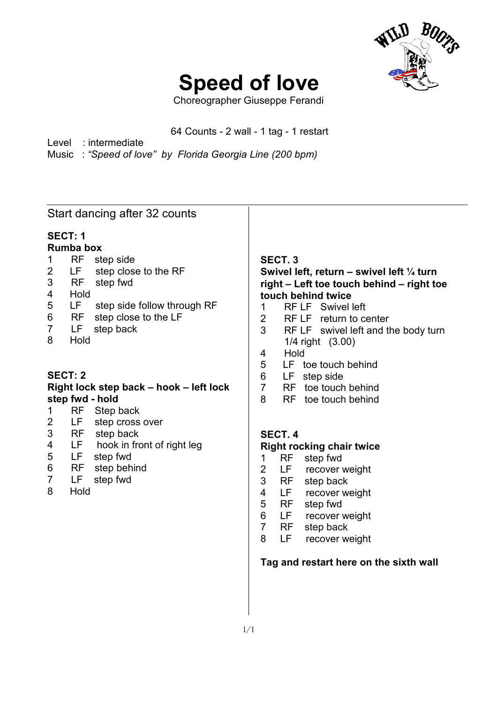

# **Speed of love**

Choreographer Giuseppe Ferandi

#### 64 Counts - 2 wall - 1 tag - 1 restart

Level : intermediate Music : *"Speed of love" by Florida Georgia Line (200 bpm)*

#### Start dancing after 32 counts

# **SECT: 1**

 $\overline{a}$ 

- **Rumba box**
- 1 RF step side 2 LF step close to the RF
- 3 RF step fwd
- 4 Hold
- 5 LF step side follow through RF
- 6 RF step close to the LF<br>7 LF step back
- 7 LF step back
- 8 Hold

# **SECT: 2**

#### **Right lock step back – hook – left lock step fwd - hold**

- 1 RF Step back
- 2 LF step cross over
- 
- 3 RF step back<br>4 LF hook in fro 4 LF hook in front of right leg<br>5 LF step fwd
- 5 LF step fwd
- 6 RF step behind
- 7 LF step fwd
- 8 Hold

# **SECT. 3**

# **Swivel left, return – swivel left ¼ turn right – Left toe touch behind – right toe touch behind twice**

- 1 RF LF Swivel left
- 2 RF LF return to center
- 3 RF LF swivel left and the body turn 1/4 right (3.00)
- 4 Hold
- 5 LF toe touch behind
- 6 LF step side
- 7 RF toe touch behind
- 8 RF toe touch behind

# **SECT. 4**

#### **Right rocking chair twice**

- 1 RF step fwd
- 2 LF recover weight
- 3 RF step back
- 4 LF recover weight
- 5 RF step fwd
- 6 LF recover weight
- 7 RF step back
- 8 LF recover weight

#### **Tag and restart here on the sixth wall**